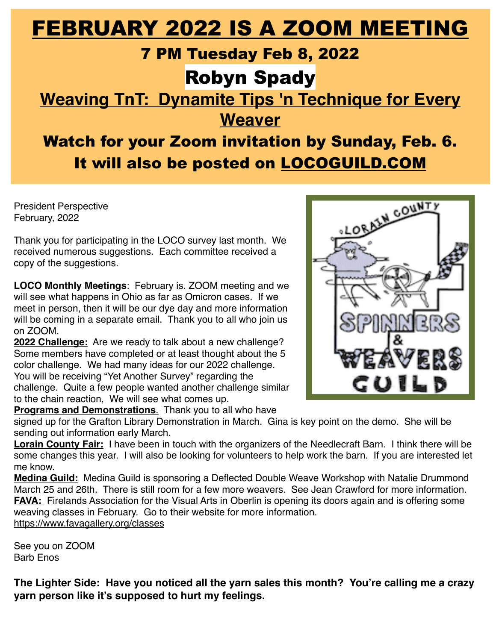# FEBRUARY 2022 IS A ZOOM MEETING

## 7 PM Tuesday Feb 8, 2022

# Robyn Spady

**Weaving TnT: Dynamite Tips 'n Technique for Every Weaver**

# Watch for your Zoom invitation by Sunday, Feb. 6. It will also be posted on [LOCOGUILD.COM](http://LOCOGUILD.COM)

President Perspective February, 2022

Thank you for participating in the LOCO survey last month. We received numerous suggestions. Each committee received a copy of the suggestions.

**LOCO Monthly Meetings**: February is. ZOOM meeting and we will see what happens in Ohio as far as Omicron cases. If we meet in person, then it will be our dye day and more information will be coming in a separate email. Thank you to all who join us on ZOOM.

**2022 Challenge:** Are we ready to talk about a new challenge? Some members have completed or at least thought about the 5 color challenge. We had many ideas for our 2022 challenge. You will be receiving "Yet Another Survey" regarding the challenge. Quite a few people wanted another challenge similar to the chain reaction, We will see what comes up.

**Programs and Demonstrations**. Thank you to all who have

signed up for the Grafton Library Demonstration in March. Gina is key point on the demo. She will be sending out information early March.

**Lorain County Fair:** I have been in touch with the organizers of the Needlecraft Barn. I think there will be some changes this year. I will also be looking for volunteers to help work the barn. If you are interested let me know.

**Medina Guild:** Medina Guild is sponsoring a Deflected Double Weave Workshop with Natalie Drummond March 25 and 26th. There is still room for a few more weavers. See Jean Crawford for more information. **FAVA:** Firelands Association for the Visual Arts in Oberlin is opening its doors again and is offering some weaving classes in February. Go to their website for more information. <https://www.favagallery.org/classes>

See you on ZOOM Barb Enos

**The Lighter Side: Have you noticed all the yarn sales this month? You're calling me a crazy yarn person like it's supposed to hurt my feelings.** 

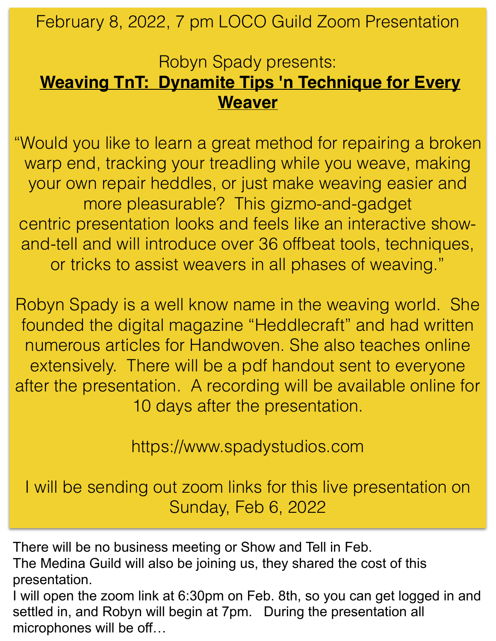February 8, 2022, 7 pm LOCO Guild Zoom Presentation

## Robyn Spady presents: **Weaving TnT: Dynamite Tips 'n Technique for Every Weaver**

"Would you like to learn a great method for repairing a broken warp end, tracking your treadling while you weave, making your own repair heddles, or just make weaving easier and more pleasurable? This gizmo-and-gadget centric presentation looks and feels like an interactive showand-tell and will introduce over 36 offbeat tools, techniques, or tricks to assist weavers in all phases of weaving."

Robyn Spady is a well know name in the weaving world. She founded the digital magazine "Heddlecraft" and had written numerous articles for Handwoven. She also teaches online extensively. There will be a pdf handout sent to everyone after the presentation. A recording will be available online for 10 days after the presentation.

https://www.spadystudios.com

I will be sending out zoom links for this live presentation on Sunday, Feb 6, 2022

There will be no business meeting or Show and Tell in Feb.

The Medina Guild will also be joining us, they shared the cost of this presentation.

I will open the zoom link at 6:30pm on Feb. 8th, so you can get logged in and settled in, and Robyn will begin at 7pm. During the presentation all microphones will be off…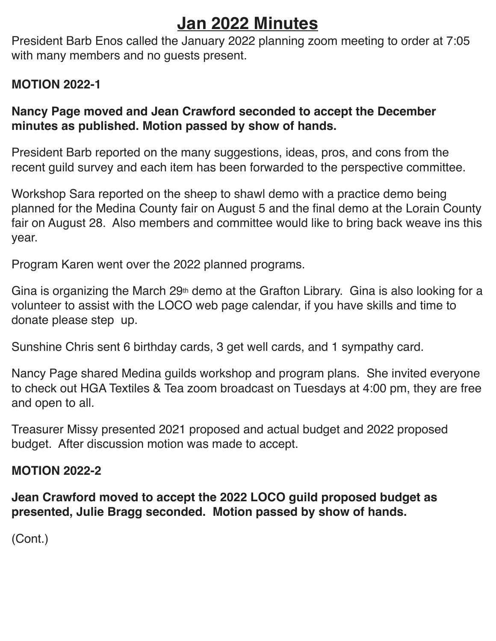## **Jan 2022 Minutes**

President Barb Enos called the January 2022 planning zoom meeting to order at 7:05 with many members and no guests present.

## **MOTION 2022-1**

## **Nancy Page moved and Jean Crawford seconded to accept the December minutes as published. Motion passed by show of hands.**

President Barb reported on the many suggestions, ideas, pros, and cons from the recent guild survey and each item has been forwarded to the perspective committee.

Workshop Sara reported on the sheep to shawl demo with a practice demo being planned for the Medina County fair on August 5 and the final demo at the Lorain County fair on August 28. Also members and committee would like to bring back weave ins this year.

Program Karen went over the 2022 planned programs.

Gina is organizing the March  $29<sup>th</sup>$  demo at the Grafton Library. Gina is also looking for a volunteer to assist with the LOCO web page calendar, if you have skills and time to donate please step up.

Sunshine Chris sent 6 birthday cards, 3 get well cards, and 1 sympathy card.

Nancy Page shared Medina guilds workshop and program plans. She invited everyone to check out HGA Textiles & Tea zoom broadcast on Tuesdays at 4:00 pm, they are free and open to all.

Treasurer Missy presented 2021 proposed and actual budget and 2022 proposed budget. After discussion motion was made to accept.

## **MOTION 2022-2**

**Jean Crawford moved to accept the 2022 LOCO guild proposed budget as presented, Julie Bragg seconded. Motion passed by show of hands.**

(Cont.)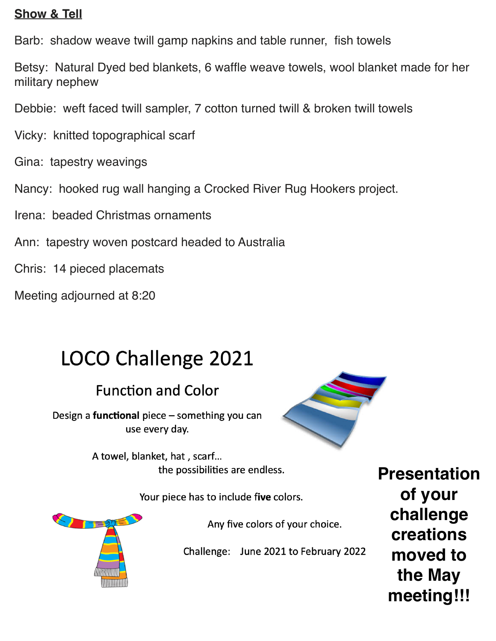### **Show & Tell**

Barb: shadow weave twill gamp napkins and table runner, fish towels

Betsy: Natural Dyed bed blankets, 6 waffle weave towels, wool blanket made for her military nephew

Debbie: weft faced twill sampler, 7 cotton turned twill & broken twill towels

Vicky: knitted topographical scarf

Gina: tapestry weavings

Nancy: hooked rug wall hanging a Crocked River Rug Hookers project.

Irena: beaded Christmas ornaments

Ann: tapestry woven postcard headed to Australia

Chris: 14 pieced placemats

Meeting adjourned at 8:20

# LOCO Challenge 2021

## **Function and Color**

Design a **functional** piece - something you can use every day.



A towel, blanket, hat, scarf... the possibilities are endless.

Your piece has to include five colors.



Any five colors of your choice.

Challenge: June 2021 to February 2022

**Presentation of your challenge creations moved to the May meeting!!!**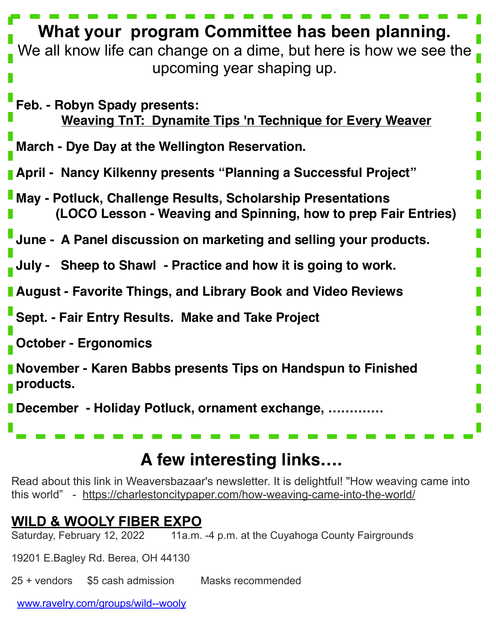| What your program Committee has been planning.<br>We all know life can change on a dime, but here is how we see the<br>upcoming year shaping up. |
|--------------------------------------------------------------------------------------------------------------------------------------------------|
| Feb. - Robyn Spady presents:<br><b>Weaving TnT: Dynamite Tips 'n Technique for Every Weaver</b>                                                  |
| March - Dye Day at the Wellington Reservation.                                                                                                   |
| <b>April - Nancy Kilkenny presents "Planning a Successful Project"</b>                                                                           |
| <b>I May - Potluck, Challenge Results, Scholarship Presentations</b><br>(LOCO Lesson - Weaving and Spinning, how to prep Fair Entries)           |
| June - A Panel discussion on marketing and selling your products.                                                                                |
| Sheep to Shawl - Practice and how it is going to work.<br>July -                                                                                 |
| <b>August - Favorite Things, and Library Book and Video Reviews</b>                                                                              |
| Sept. - Fair Entry Results. Make and Take Project                                                                                                |
| <b>October - Ergonomics</b>                                                                                                                      |
| November - Karen Babbs presents Tips on Handspun to Finished<br>products.                                                                        |
| December - Holiday Potluck, ornament exchange,                                                                                                   |

## **A few interesting links….**

Read about this link in Weaversbazaar's newsletter. It is delightful! "How weaving came into this world" - <https://charlestoncitypaper.com/how-weaving-came-into-the-world/>

# **WILD & WOOLY FIBER EXPO**<br>Saturday, February 12, 2022 11a.m.

11a.m. -4 p.m. at the Cuyahoga County Fairgrounds

19201 E.Bagley Rd. Berea, OH 44130

25 + vendors \$5 cash admission Masks recommended

[www.ravelry.com/groups/wild--wooly](http://www.ravelry.com/groups/wild--wooly)